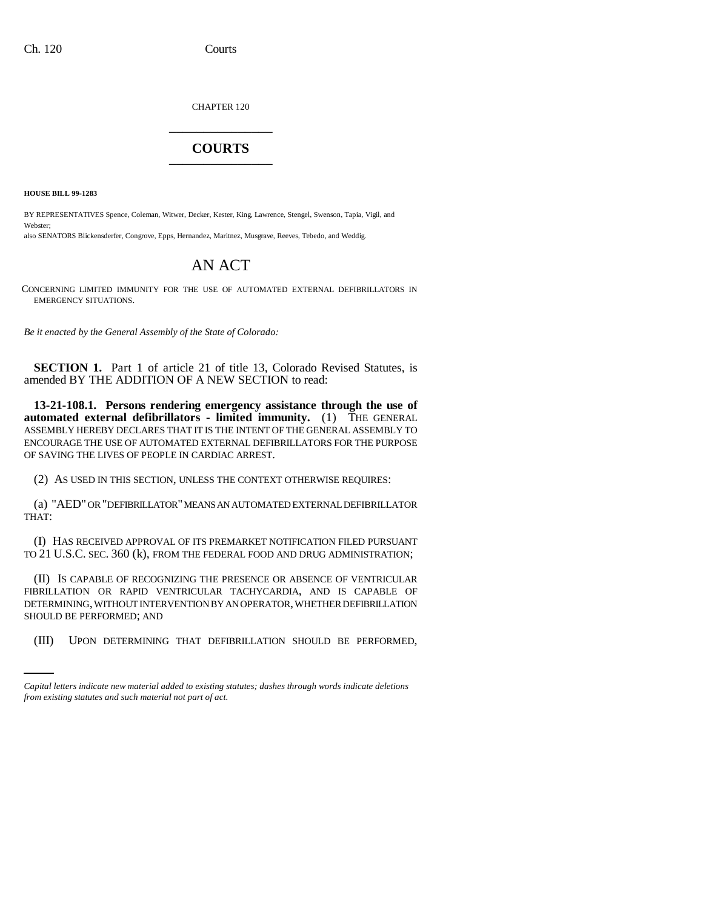CHAPTER 120 \_\_\_\_\_\_\_\_\_\_\_\_\_\_\_

## **COURTS** \_\_\_\_\_\_\_\_\_\_\_\_\_\_\_

**HOUSE BILL 99-1283**

BY REPRESENTATIVES Spence, Coleman, Witwer, Decker, Kester, King, Lawrence, Stengel, Swenson, Tapia, Vigil, and Webster;

also SENATORS Blickensderfer, Congrove, Epps, Hernandez, Maritnez, Musgrave, Reeves, Tebedo, and Weddig.

## AN ACT

CONCERNING LIMITED IMMUNITY FOR THE USE OF AUTOMATED EXTERNAL DEFIBRILLATORS IN EMERGENCY SITUATIONS.

*Be it enacted by the General Assembly of the State of Colorado:*

**SECTION 1.** Part 1 of article 21 of title 13, Colorado Revised Statutes, is amended BY THE ADDITION OF A NEW SECTION to read:

**13-21-108.1. Persons rendering emergency assistance through the use of automated external defibrillators - limited immunity.** (1) THE GENERAL ASSEMBLY HEREBY DECLARES THAT IT IS THE INTENT OF THE GENERAL ASSEMBLY TO ENCOURAGE THE USE OF AUTOMATED EXTERNAL DEFIBRILLATORS FOR THE PURPOSE OF SAVING THE LIVES OF PEOPLE IN CARDIAC ARREST.

(2) AS USED IN THIS SECTION, UNLESS THE CONTEXT OTHERWISE REQUIRES:

(a) "AED" OR "DEFIBRILLATOR" MEANS AN AUTOMATED EXTERNAL DEFIBRILLATOR THAT:

(I) HAS RECEIVED APPROVAL OF ITS PREMARKET NOTIFICATION FILED PURSUANT TO 21 U.S.C. SEC. 360 (k), FROM THE FEDERAL FOOD AND DRUG ADMINISTRATION;

SHOULD BE PERFORMED; AND (II) IS CAPABLE OF RECOGNIZING THE PRESENCE OR ABSENCE OF VENTRICULAR FIBRILLATION OR RAPID VENTRICULAR TACHYCARDIA, AND IS CAPABLE OF DETERMINING, WITHOUT INTERVENTION BY AN OPERATOR, WHETHER DEFIBRILLATION

(III) UPON DETERMINING THAT DEFIBRILLATION SHOULD BE PERFORMED,

*Capital letters indicate new material added to existing statutes; dashes through words indicate deletions from existing statutes and such material not part of act.*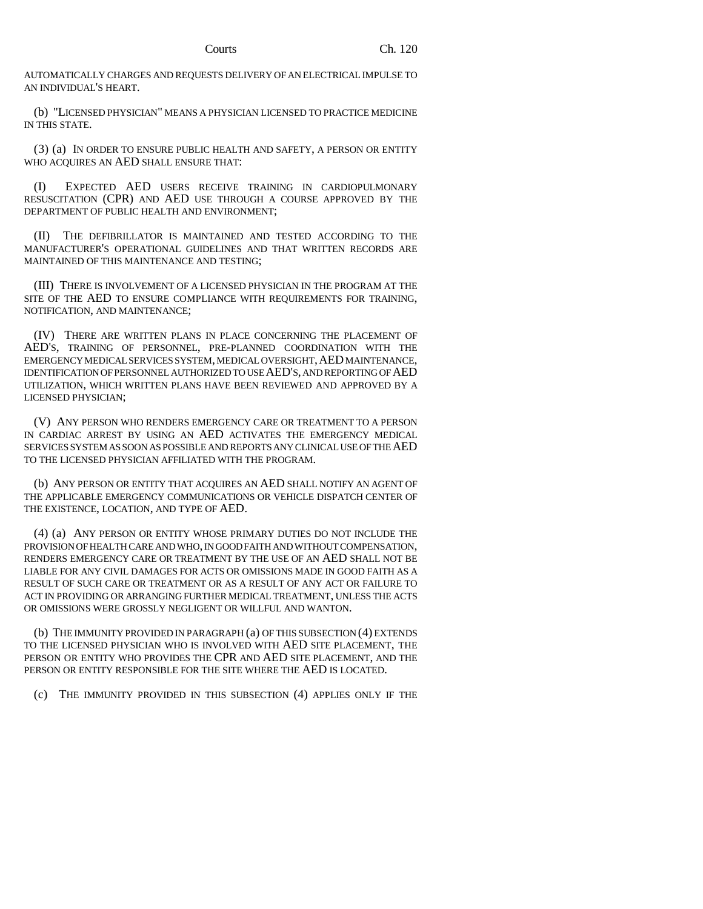AUTOMATICALLY CHARGES AND REQUESTS DELIVERY OF AN ELECTRICAL IMPULSE TO AN INDIVIDUAL'S HEART.

(b) "LICENSED PHYSICIAN" MEANS A PHYSICIAN LICENSED TO PRACTICE MEDICINE IN THIS STATE.

(3) (a) IN ORDER TO ENSURE PUBLIC HEALTH AND SAFETY, A PERSON OR ENTITY WHO ACQUIRES AN AED SHALL ENSURE THAT:

(I) EXPECTED AED USERS RECEIVE TRAINING IN CARDIOPULMONARY RESUSCITATION (CPR) AND AED USE THROUGH A COURSE APPROVED BY THE DEPARTMENT OF PUBLIC HEALTH AND ENVIRONMENT;

(II) THE DEFIBRILLATOR IS MAINTAINED AND TESTED ACCORDING TO THE MANUFACTURER'S OPERATIONAL GUIDELINES AND THAT WRITTEN RECORDS ARE MAINTAINED OF THIS MAINTENANCE AND TESTING;

(III) THERE IS INVOLVEMENT OF A LICENSED PHYSICIAN IN THE PROGRAM AT THE SITE OF THE AED TO ENSURE COMPLIANCE WITH REQUIREMENTS FOR TRAINING, NOTIFICATION, AND MAINTENANCE;

(IV) THERE ARE WRITTEN PLANS IN PLACE CONCERNING THE PLACEMENT OF AED'S, TRAINING OF PERSONNEL, PRE-PLANNED COORDINATION WITH THE EMERGENCY MEDICAL SERVICES SYSTEM, MEDICAL OVERSIGHT,AED MAINTENANCE, IDENTIFICATION OF PERSONNEL AUTHORIZED TO USE AED'S, AND REPORTING OF AED UTILIZATION, WHICH WRITTEN PLANS HAVE BEEN REVIEWED AND APPROVED BY A LICENSED PHYSICIAN;

(V) ANY PERSON WHO RENDERS EMERGENCY CARE OR TREATMENT TO A PERSON IN CARDIAC ARREST BY USING AN AED ACTIVATES THE EMERGENCY MEDICAL SERVICES SYSTEM AS SOON AS POSSIBLE AND REPORTS ANY CLINICAL USE OF THE AED TO THE LICENSED PHYSICIAN AFFILIATED WITH THE PROGRAM.

(b) ANY PERSON OR ENTITY THAT ACQUIRES AN AED SHALL NOTIFY AN AGENT OF THE APPLICABLE EMERGENCY COMMUNICATIONS OR VEHICLE DISPATCH CENTER OF THE EXISTENCE, LOCATION, AND TYPE OF AED.

(4) (a) ANY PERSON OR ENTITY WHOSE PRIMARY DUTIES DO NOT INCLUDE THE PROVISION OF HEALTH CARE AND WHO, IN GOOD FAITH AND WITHOUT COMPENSATION, RENDERS EMERGENCY CARE OR TREATMENT BY THE USE OF AN AED SHALL NOT BE LIABLE FOR ANY CIVIL DAMAGES FOR ACTS OR OMISSIONS MADE IN GOOD FAITH AS A RESULT OF SUCH CARE OR TREATMENT OR AS A RESULT OF ANY ACT OR FAILURE TO ACT IN PROVIDING OR ARRANGING FURTHER MEDICAL TREATMENT, UNLESS THE ACTS OR OMISSIONS WERE GROSSLY NEGLIGENT OR WILLFUL AND WANTON.

(b) THE IMMUNITY PROVIDED IN PARAGRAPH (a) OF THIS SUBSECTION (4) EXTENDS TO THE LICENSED PHYSICIAN WHO IS INVOLVED WITH AED SITE PLACEMENT, THE PERSON OR ENTITY WHO PROVIDES THE CPR AND AED SITE PLACEMENT, AND THE PERSON OR ENTITY RESPONSIBLE FOR THE SITE WHERE THE AED IS LOCATED.

(c) THE IMMUNITY PROVIDED IN THIS SUBSECTION (4) APPLIES ONLY IF THE